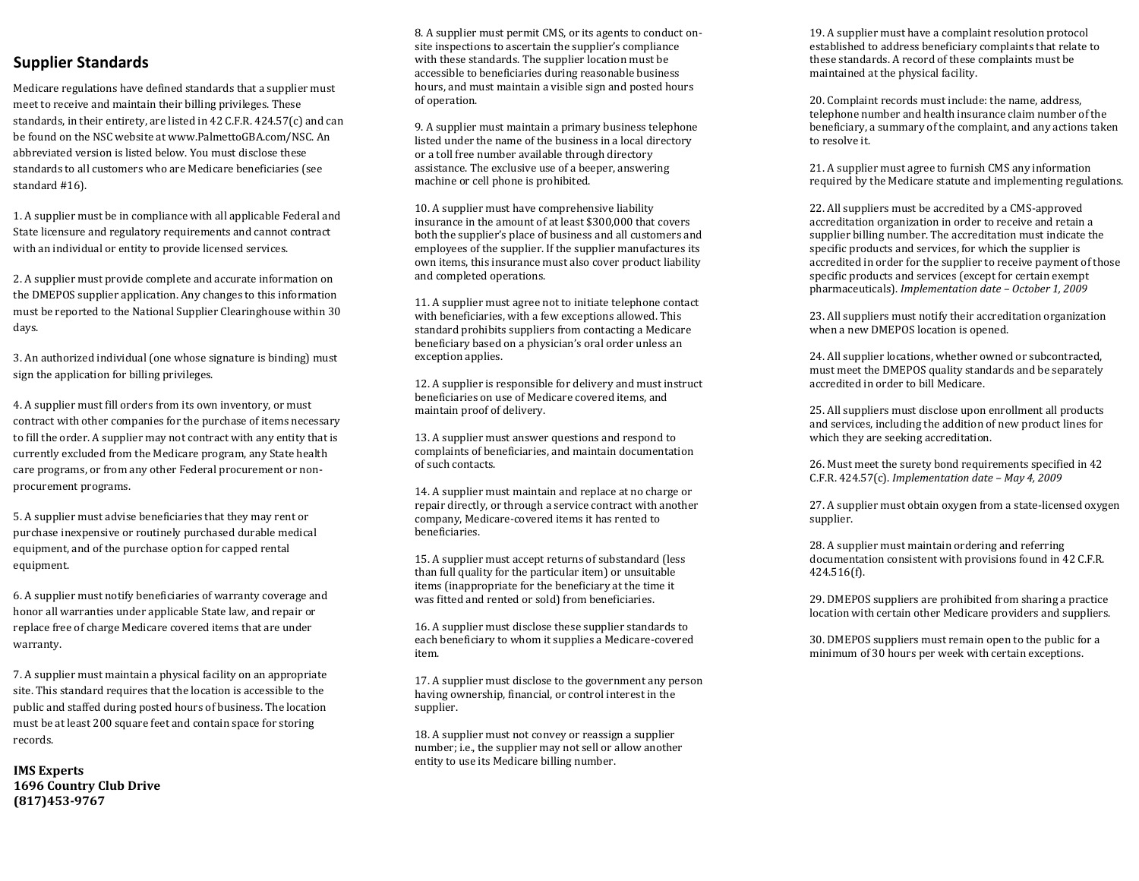# **Supplier Standards**

Medicare regulations have defined standards that a supplier must meet to receive and maintain their billing privileges. These standards, in their entirety, are listed in 42 C.F.R. 424.57(c) and can be found on the NSC website at www.PalmettoGBA.com/NSC. An abbreviated version is listed below. You must disclose these standards to all customers who are Medicare beneficiaries (see standard #16).

1. A supplier must be in compliance with all applicable Federal and State licensure and regulatory requirements and cannot contract with an individual or entity to provide licensed services.

2. A supplier must provide complete and accurate information on the DMEPOS supplier application. Any changes to this information must be reported to the National Supplier Clearinghouse within 30 days.

3. An authorized individual (one whose signature is binding) must sign the application for billing privileges.

4. A supplier must fill orders from its own inventory, or must contract with other companies for the purchase of items necessary to fill the order. A supplier may not contract with any entity that is currently excluded from the Medicare program, any State health care programs, or from any other Federal procurement or nonprocurement programs.

5. A supplier must advise beneficiaries that they may rent or purchase inexpensive or routinely purchased durable medical equipment, and of the purchase option for capped rental equipment.

6. A supplier must notify beneficiaries of warranty coverage and honor all warranties under applicable State law, and repair or replace free of charge Medicare covered items that are under warranty.

7. A supplier must maintain a physical facility on an appropriate site. This standard requires that the location is accessible to the public and staffed during posted hours of business. The location must be at least 200 square feet and contain space for storing records.

**IMS Experts 1696 Country Club Drive (817)453-9767**

8. A supplier must permit CMS, or its agents to conduct onsite inspections to ascertain the supplier's compliance with these standards. The supplier location must be accessible to beneficiaries during reasonable business hours, and must maintain a visible sign and posted hours of operation.

9. A supplier must maintain a primary business telephone listed under the name of the business in a local directory or a toll free number available through directory assistance. The exclusive use of a beeper, answering machine or cell phone is prohibited.

10. A supplier must have comprehensive liability insurance in the amount of at least \$300,000 that covers both the supplier's place of business and all customers and employees of the supplier. If the supplier manufactures its own items, this insurance must also cover product liability and completed operations.

11. A supplier must agree not to initiate telephone contact with beneficiaries, with a few exceptions allowed. This standard prohibits suppliers from contacting a Medicare beneficiary based on a physician's oral order unless an exception applies.

12. A supplier is responsible for delivery and must instruct beneficiaries on use of Medicare covered items, and maintain proof of delivery.

13. A supplier must answer questions and respond to complaints of beneficiaries, and maintain documentation of such contacts.

14. A supplier must maintain and replace at no charge or repair directly, or through a service contract with another company, Medicare-covered items it has rented to beneficiaries.

15. A supplier must accept returns of substandard (less than full quality for the particular item) or unsuitable items (inappropriate for the beneficiary at the time it was fitted and rented or sold) from beneficiaries.

16. A supplier must disclose these supplier standards to each beneficiary to whom it supplies a Medicare-covered item.

17. A supplier must disclose to the government any person having ownership, financial, or control interest in the supplier.

18. A supplier must not convey or reassign a supplier number; i.e., the supplier may not sell or allow another entity to use its Medicare billing number.

19. A supplier must have a complaint resolution protocol established to address beneficiary complaints that relate to these standards. A record of these complaints must be maintained at the physical facility.

20. Complaint records must include: the name, address, telephone number and health insurance claim number of the beneficiary, a summary of the complaint, and any actions taken to resolve it.

21. A supplier must agree to furnish CMS any information required by the Medicare statute and implementing regulations.

22. All suppliers must be accredited by a CMS-approved accreditation organization in order to receive and retain a supplier billing number. The accreditation must indicate the specific products and services, for which the supplier is accredited in order for the supplier to receive payment of those specific products and services (except for certain exempt pharmaceuticals). *Implementation date – October 1, 2009*

23. All suppliers must notify their accreditation organization when a new DMEPOS location is opened.

24. All supplier locations, whether owned or subcontracted, must meet the DMEPOS quality standards and be separately accredited in order to bill Medicare.

25. All suppliers must disclose upon enrollment all products and services, including the addition of new product lines for which they are seeking accreditation.

26. Must meet the surety bond requirements specified in 42 C.F.R. 424.57(c). *Implementation date – May 4, 2009*

27. A supplier must obtain oxygen from a state-licensed oxygen supplier.

28. A supplier must maintain ordering and referring documentation consistent with provisions found in 42 C.F.R. 424.516(f).

29. DMEPOS suppliers are prohibited from sharing a practice location with certain other Medicare providers and suppliers.

30. DMEPOS suppliers must remain open to the public for a minimum of 30 hours per week with certain exceptions.